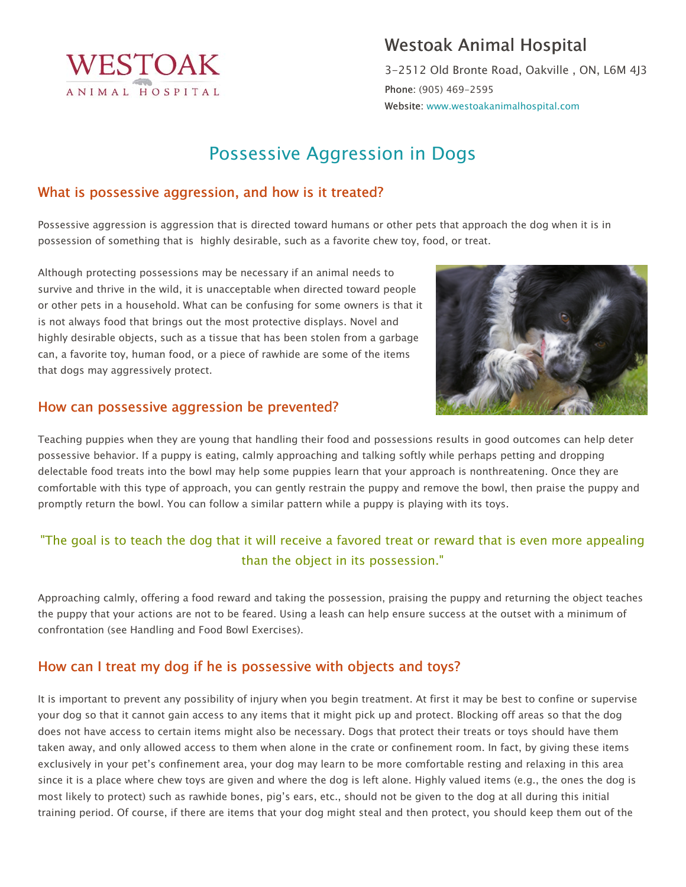

## Westoak Animal Hospital

3-2512 Old Bronte Road, Oakville , ON, L6M 4J3 Phone: (905) 469-2595 Website: www.westoakanimalhospital.com

# Possessive Aggression in Dogs

#### What is possessive aggression, and how is it treated?

Possessive aggression is aggression that is directed toward humans or other pets that approach the dog when it is in possession of something that is highly desirable, such as a favorite chew toy, food, or treat.

Although protecting possessions may be necessary if an animal needs to survive and thrive in the wild, it is unacceptable when directed toward people or other pets in a household. What can be confusing for some owners is that it is not always food that brings out the most protective displays. Novel and highly desirable objects, such as a tissue that has been stolen from a garbage can, a favorite toy, human food, or a piece of rawhide are some of the items that dogs may aggressively protect.



#### How can possessive aggression be prevented?

Teaching puppies when they are young that handling their food and possessions results in good outcomes can help deter possessive behavior. If a puppy is eating, calmly approaching and talking softly while perhaps petting and dropping delectable food treats into the bowl may help some puppies learn that your approach is nonthreatening. Once they are comfortable with this type of approach, you can gently restrain the puppy and remove the bowl, then praise the puppy and promptly return the bowl. You can follow a similar pattern while a puppy is playing with its toys.

## "The goal is to teach the dog that it will receive a favored treat or reward that is even more appealing than the object in its possession."

Approaching calmly, offering a food reward and taking the possession, praising the puppy and returning the object teaches the puppy that your actions are not to be feared. Using a leash can help ensure success at the outset with a minimum of confrontation (see Handling and Food Bowl Exercises).

#### How can I treat my dog if he is possessive with objects and toys?

It is important to prevent any possibility of injury when you begin treatment. At first it may be best to confine or supervise your dog so that it cannot gain access to any items that it might pick up and protect. Blocking off areas so that the dog does not have access to certain items might also be necessary. Dogs that protect their treats or toys should have them taken away, and only allowed access to them when alone in the crate or confinement room. In fact, by giving these items exclusively in your pet's confinement area, your dog may learn to be more comfortable resting and relaxing in this area since it is a place where chew toys are given and where the dog is left alone. Highly valued items (e.g., the ones the dog is most likely to protect) such as rawhide bones, pig's ears, etc., should not be given to the dog at all during this initial training period. Of course, if there are items that your dog might steal and then protect, you should keep them out of the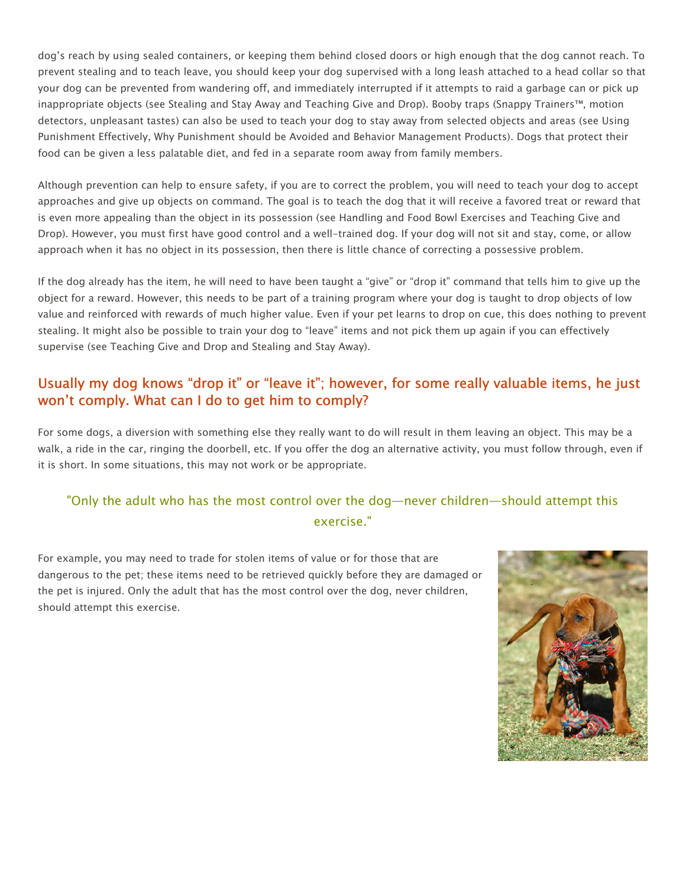dog's reach by using sealed containers, or keeping them behind closed doors or high enough that the dog cannot reach. To prevent stealing and to teach leave, you should keep your dog supervised with a long leash attached to a head collar so that your dog can be prevented from wandering off, and immediately interrupted if it attempts to raid a garbage can or pick up inappropriate objects (see Stealing and Stay Away and Teaching Give and Drop). Booby traps (Snappy Trainers™, motion detectors, unpleasant tastes) can also be used to teach your dog to stay away from selected objects and areas (see Using Punishment Effectively, Why Punishment should be Avoided and Behavior Management Products). Dogs that protect their food can be given a less palatable diet, and fed in a separate room away from family members.

Although prevention can help to ensure safety, if you are to correct the problem, you will need to teach your dog to accept approaches and give up objects on command. The goal is to teach the dog that it will receive a favored treat or reward that is even more appealing than the object in its possession (see Handling and Food Bowl Exercises and Teaching Give and Drop). However, you must first have good control and a well-trained dog. If your dog will not sit and stay, come, or allow approach when it has no object in its possession, then there is little chance of correcting a possessive problem.

If the dog already has the item, he will need to have been taught a "give" or "drop it" command that tells him to give up the object for a reward. However, this needs to be part of a training program where your dog is taught to drop objects of low value and reinforced with rewards of much higher value. Even if your pet learns to drop on cue, this does nothing to prevent stealing. It might also be possible to train your dog to "leave" items and not pick them up again if you can effectively supervise (see Teaching Give and Drop and Stealing and Stay Away).

#### Usually my dog knows "drop it" or "leave it"; however, for some really valuable items, he just won't comply. What can I do to get him to comply?

For some dogs, a diversion with something else they really want to do will result in them leaving an object. This may be a walk, a ride in the car, ringing the doorbell, etc. If you offer the dog an alternative activity, you must follow through, even if it is short. In some situations, this may not work or be appropriate.

## "Only the adult who has the most control over the dog—never children—should attempt this exercise."

For example, you may need to trade for stolen items of value or for those that are dangerous to the pet; these items need to be retrieved quickly before they are damaged or the pet is injured. Only the adult that has the most control over the dog, never children, should attempt this exercise.